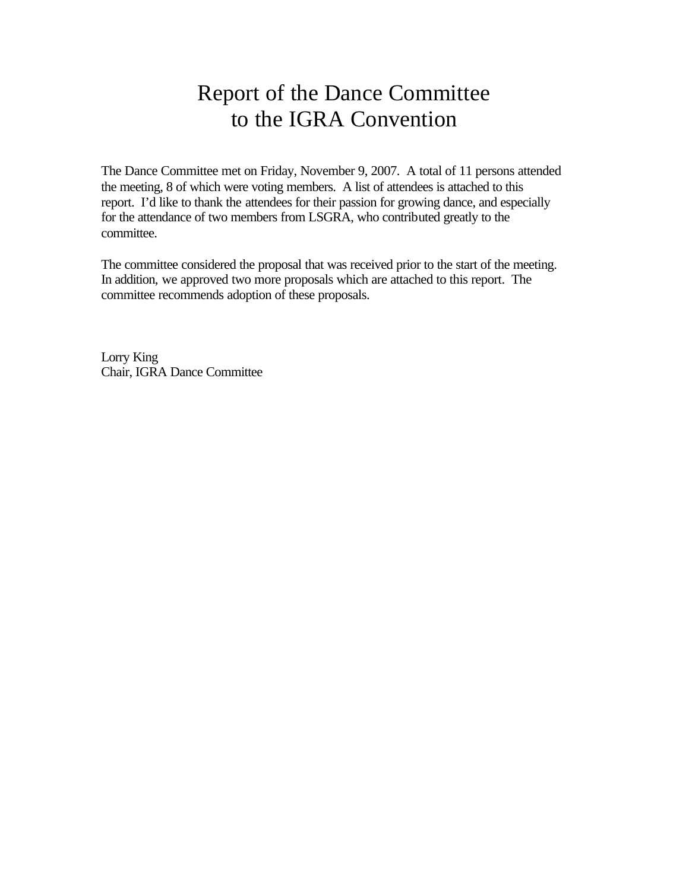# Report of the Dance Committee to the IGRA Convention

The Dance Committee met on Friday, November 9, 2007. A total of 11 persons attended the meeting, 8 of which were voting members. A list of attendees is attached to this report. I'd like to thank the attendees for their passion for growing dance, and especially for the attendance of two members from LSGRA, who contributed greatly to the committee.

The committee considered the proposal that was received prior to the start of the meeting. In addition, we approved two more proposals which are attached to this report. The committee recommends adoption of these proposals.

Lorry King Chair, IGRA Dance Committee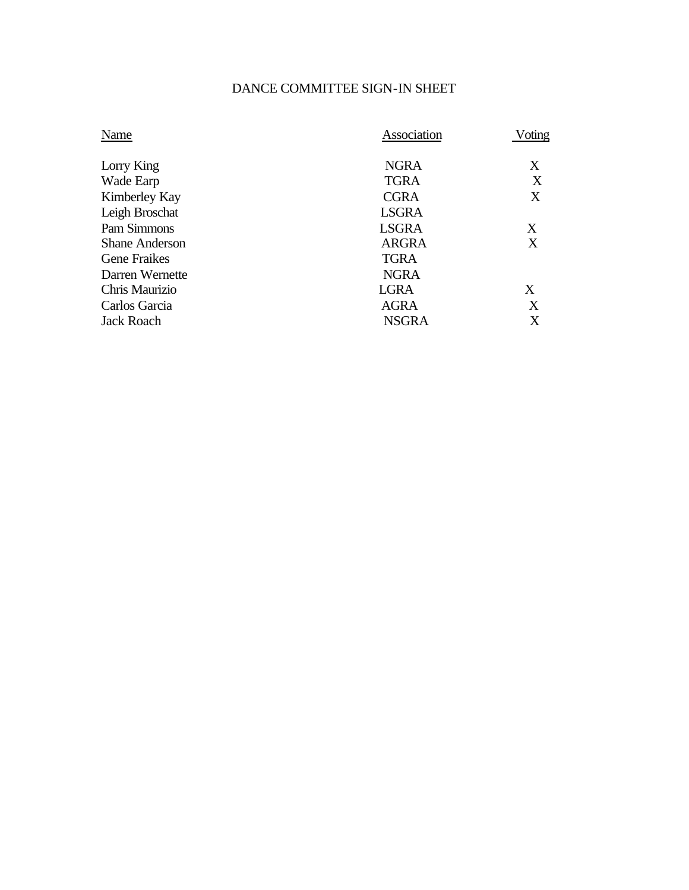# DANCE COMMITTEE SIGN-IN SHEET

| Name                  | Association  | Voting |
|-----------------------|--------------|--------|
| Lorry King            | <b>NGRA</b>  | X      |
| Wade Earp             | <b>TGRA</b>  | X      |
| Kimberley Kay         | <b>CGRA</b>  | X      |
| Leigh Broschat        | <b>LSGRA</b> |        |
| Pam Simmons           | <b>LSGRA</b> | X      |
| <b>Shane Anderson</b> | <b>ARGRA</b> | X      |
| <b>Gene Fraikes</b>   | <b>TGRA</b>  |        |
| Darren Wernette       | <b>NGRA</b>  |        |
| Chris Maurizio        | <b>LGRA</b>  | X      |
| Carlos Garcia         | <b>AGRA</b>  | X      |
| <b>Jack Roach</b>     | <b>NSGRA</b> | X      |
|                       |              |        |